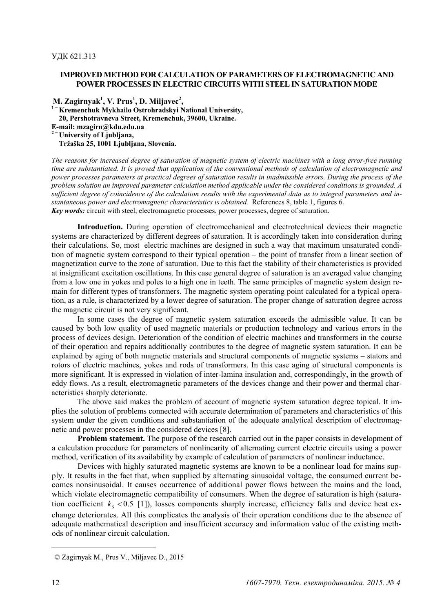## **IMPROVED METHOD FOR CALCULATION OF PARAMETERS OF ELECTROMAGNETIC AND POWER PROCESSES IN ELECTRIC CIRCUITS WITH STEEL IN SATURATION MODE**

 **M. Zagirnyak<sup>1</sup> , V. Prus1 , D. Miljavec2 , <sup>1</sup><sup>−</sup> Kremenchuk Mykhailo Ostrohradskyi National University, 20, Pershotravneva Street, Kremenchuk, 39600, Ukraine. E-mail: mzagirn@kdu.edu.ua <sup>2</sup><sup>−</sup> University of Ljubljana, Tržaška 25, 1001 Ljubljana, Slovenia.** 

*The reasons for increased degree of saturation of magnetic system of electric machines with a long error-free running time are substantiated. It is proved that application of the conventional methods of calculation of electromagnetic and power processes parameters at practical degrees of saturation results in inadmissible errors. During the process of the problem solution an improved parameter calculation method applicable under the considered conditions is grounded. A sufficient degree of coincidence of the calculation results with the experimental data as to integral parameters and instantaneous power and electromagnetic characteristics is obtained.* References 8, table 1, figures 6. *Key words:* circuit with steel, electromagnetic processes, power processes, degree of saturation.

**Introduction.** During operation of electromechanical and electrotechnical devices their magnetic systems are characterized by different degrees of saturation. It is accordingly taken into consideration during their calculations. So, most electric machines are designed in such a way that maximum unsaturated condition of magnetic system correspond to their typical operation – the point of transfer from a linear section of magnetization curve to the zone of saturation. Due to this fact the stability of their characteristics is provided at insignificant excitation oscillations. In this case general degree of saturation is an averaged value changing from a low one in yokes and poles to a high one in teeth. The same principles of magnetic system design remain for different types of transformers. The magnetic system operating point calculated for a typical operation, as a rule, is characterized by a lower degree of saturation. The proper change of saturation degree across the magnetic circuit is not very significant.

In some cases the degree of magnetic system saturation exceeds the admissible value. It can be caused by both low quality of used magnetic materials or production technology and various errors in the process of devices design. Deterioration of the condition of electric machines and transformers in the course of their operation and repairs additionally contributes to the degree of magnetic system saturation. It can be explained by aging of both magnetic materials and structural components of magnetic systems – stators and rotors of electric machines, yokes and rods of transformers. In this case aging of structural components is more significant. It is expressed in violation of inter-lamina insulation and, correspondingly, in the growth of eddy flows. As a result, electromagnetic parameters of the devices change and their power and thermal characteristics sharply deteriorate.

The above said makes the problem of account of magnetic system saturation degree topical. It implies the solution of problems connected with accurate determination of parameters and characteristics of this system under the given conditions and substantiation of the adequate analytical description of electromagnetic and power processes in the considered devices [8].

**Problem statement.** The purpose of the research carried out in the paper consists in development of a calculation procedure for parameters of nonlinearity of alternating current electric circuits using a power method, verification of its availability by example of calculation of parameters of nonlinear inductance.

Devices with highly saturated magnetic systems are known to be a nonlinear load for mains supply. It results in the fact that, when supplied by alternating sinusoidal voltage, the consumed current becomes nonsinusoidal. It causes occurrence of additional power flows between the mains and the load, which violate electromagnetic compatibility of consumers. When the degree of saturation is high (saturation coefficient  $k_s$  < 0.5 [1]), losses components sharply increase, efficiency falls and device heat exchange deteriorates. All this complicates the analysis of their operation conditions due to the absence of adequate mathematical description and insufficient accuracy and information value of the existing methods of nonlinear circuit calculation.

-

 <sup>©</sup> Zagirnyak M., Prus V., Miljavec D., 2015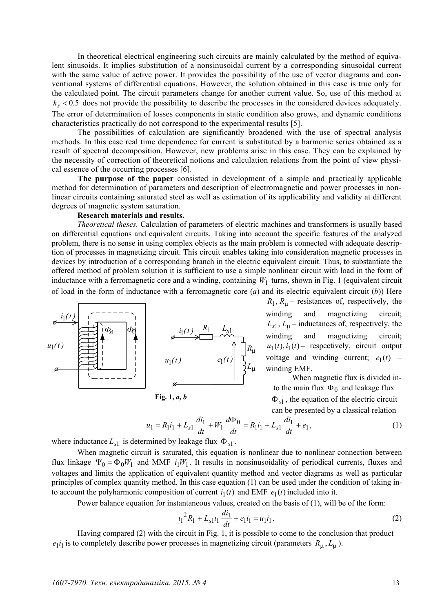In theoretical electrical engineering such circuits are mainly calculated by the method of equivalent sinusoids. It implies substitution of a nonsinusoidal current by a corresponding sinusoidal current with the same value of active power. It provides the possibility of the use of vector diagrams and conventional systems of differential equations. However, the solution obtained in this case is true only for the calculated point. The circuit parameters change for another current value. So, use of this method at  $k_s$  < 0.5 does not provide the possibility to describe the processes in the considered devices adequately. The error of determination of losses components in static condition also grows, and dynamic conditions characteristics practically do not correspond to the experimental results [5].

The possibilities of calculation are significantly broadened with the use of spectral analysis methods. In this case real time dependence for current is substituted by a harmonic series obtained as a result of spectral decomposition. However, new problems arise in this case. They can be explained by the necessity of correction of theoretical notions and calculation relations from the point of view physical essence of the occurring processes [6].

**The purpose of the paper** consisted in development of a simple and practically applicable method for determination of parameters and description of electromagnetic and power processes in nonlinear circuits containing saturated steel as well as estimation of its applicability and validity at different degrees of magnetic system saturation.

### **Research materials and results.**

*Theoretical theses.* Calculation of parameters of electric machines and transformers is usually based on differential equations and equivalent circuits. Taking into account the specific features of the analyzed problem, there is no sense in using complex objects as the main problem is connected with adequate description of processes in magnetizing circuit. This circuit enables taking into consideration magnetic processes in devices by introduction of a corresponding branch in the electric equivalent circuit. Thus, to substantiate the offered method of problem solution it is sufficient to use a simple nonlinear circuit with load in the form of inductance with a ferromagnetic core and a winding, containing  $W_1$  turns, shown in Fig. 1 (equivalent circuit of load in the form of inductance with a ferromagnetic core (*a*) and its electric equivalent circuit (*b*)) Here



**Fig. 1,** *a, b*

 $R_1, R_{\mu}$  – resistances of, respectively, the winding and magnetizing circuit;  $L_{s1}$ ,  $L_{\mu}$  – inductances of, respectively, the winding and magnetizing circuit;  $u_1(t)$ ,  $i_1(t)$  – respectively, circuit output voltage and winding current;  $e_1(t)$  – winding EMF.

When magnetic flux is divided into the main flux  $\Phi_0$  and leakage flux Ф*s*<sup>1</sup> , the equation of the electric circuit can be presented by a classical relation

$$
u_1 = R_1 i_1 + L_{s1} \frac{di_1}{dt} + W_1 \frac{d\Phi_0}{dt} = R_1 i_1 + L_{s1} \frac{di_1}{dt} + e_1,
$$
\n(1)

where inductance  $L_{s1}$  is determined by leakage flux  $\Phi_{s1}$ .

When magnetic circuit is saturated, this equation is nonlinear due to nonlinear connection between flux linkage  $\Psi_0 = \Phi_0 W_1$  and MMF  $i_1 W_1$ . It results in nonsinusoidality of periodical currents, fluxes and voltages and limits the application of equivalent quantity method and vector diagrams as well as particular principles of complex quantity method. In this case equation (1) can be used under the condition of taking into account the polyharmonic composition of current  $i_1(t)$  and EMF  $e_1(t)$  included into it.

Power balance equation for instantaneous values, created on the basis of (1), will be of the form:

$$
i_1^2 R_1 + L_{s1} i_1 \frac{di_1}{dt} + e_1 i_1 = u_1 i_1.
$$
 (2)

Having compared (2) with the circuit in Fig. 1, it is possible to come to the conclusion that product  $e_1 i_1$  is to completely describe power processes in magnetizing circuit (parameters  $R_{\mu}$ ,  $L_{\mu}$ ).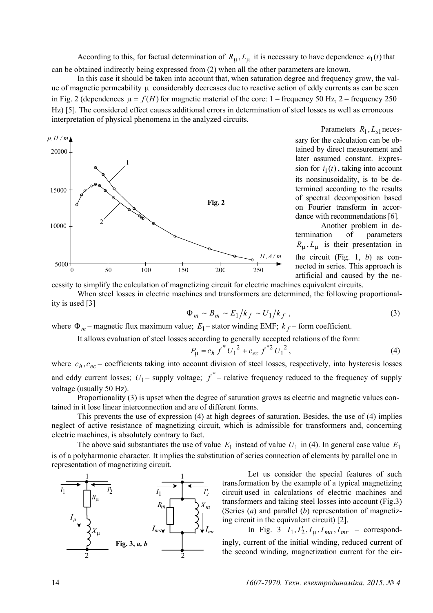According to this, for factual determination of  $R_{\mu}$ ,  $L_{\mu}$  it is necessary to have dependence  $e_1(t)$  that can be obtained indirectly being expressed from (2) when all the other parameters are known.

In this case it should be taken into account that, when saturation degree and frequency grow, the value of magnetic permeability μ considerably decreases due to reactive action of eddy currents as can be seen in Fig. 2 (dependences  $\mu = f(H)$  for magnetic material of the core: 1 – frequency 50 Hz, 2 – frequency 250 Hz) [5]. The considered effect causes additional errors in determination of steel losses as well as erroneous interpretation of physical phenomena in the analyzed circuits.



Parameters  $R_1, L_{s1}$  necessary for the calculation can be obtained by direct measurement and later assumed constant. Expression for  $i_1(t)$ , taking into account its nonsinusoidality, is to be determined according to the results of spectral decomposition based on Fourier transform in accordance with recommendations [6].

Another problem in determination of parameters  $R_{\mu}$ ,  $L_{\mu}$  is their presentation in the circuit (Fig. 1, *b*) as connected in series. This approach is artificial and caused by the ne-

cessity to simplify the calculation of magnetizing circuit for electric machines equivalent circuits.

When steel losses in electric machines and transformers are determined, the following proportionality is used [3]

$$
\Phi_m \sim B_m \sim E_1/k_f \sim U_1/k_f \tag{3}
$$

where  $\Phi_m$  – magnetic flux maximum value;  $E_1$  – stator winding EMF;  $k_f$  – form coefficient.

It allows evaluation of steel losses according to generally accepted relations of the form:

$$
P_{\mu} = c_h f^* U_1^2 + c_{ec} f^{*2} U_1^2, \qquad (4)
$$

where  $c_h$ ,  $c_{ec}$  – coefficients taking into account division of steel losses, respectively, into hysteresis losses and eddy current losses;  $U_1$  – supply voltage;  $f^*$  – relative frequency reduced to the frequency of supply voltage (usually 50 Hz).

Proportionality (3) is upset when the degree of saturation grows as electric and magnetic values contained in it lose linear interconnection and are of different forms.

This prevents the use of expression (4) at high degrees of saturation. Besides, the use of (4) implies neglect of active resistance of magnetizing circuit, which is admissible for transformers and, concerning electric machines, is absolutely contrary to fact.

The above said substantiates the use of value  $E_1$  instead of value  $U_1$  in (4). In general case value  $E_1$ is of a polyharmonic character. It implies the substitution of series connection of elements by parallel one in representation of magnetizing circuit.



Let us consider the special features of such transformation by the example of a typical magnetizing circuit used in calculations of electric machines and transformers and taking steel losses into account (Fig.3) (Series (*a*) and parallel (*b*) representation of magnetizing circuit in the equivalent circuit) [2].

In Fig. 3  $I_1, I_2', I_{1} , I_{ma}, I_{mr}$  – correspondingly, current of the initial winding, reduced current of the second winding, magnetization current for the cir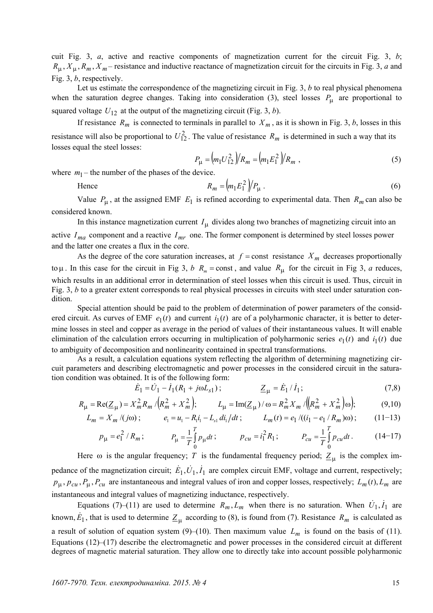cuit Fig. 3, *a*, active and reactive components of magnetization current for the circuit Fig. 3, *b*;  $R_{\mu}$ ,  $X_{\mu}$ ,  $R_m$ ,  $X_m$  – resistance and inductive reactance of magnetization circuit for the circuits in Fig. 3, *a* and Fig. 3, *b*, respectively.

Let us estimate the correspondence of the magnetizing circuit in Fig. 3, *b* to real physical phenomena when the saturation degree changes. Taking into consideration (3), steel losses *P*μ are proportional to squared voltage  $U_{12}$  at the output of the magnetizing circuit (Fig. 3, *b*).

If resistance  $R_m$  is connected to terminals in parallel to  $X_m$ , as it is shown in Fig. 3, *b*, losses in this resistance will also be proportional to  $U_{12}^2$ . The value of resistance  $R_m$  is determined in such a way that its losses equal the steel losses:

$$
P_{\mu} = (m_1 U_{12}^2)/R_m = (m_1 E_1^2)/R_m \tag{5}
$$

where  $m_1$  – the number of the phases of the device.

Hence 
$$
R_m = \left( m_1 E_1^2 \right) / P_\mu \,. \tag{6}
$$

Value  $P_{\mu}$ , at the assigned EMF  $E_1$  is refined according to experimental data. Then  $R_m$  can also be considered known.

In this instance magnetization current  $I_{\mu}$  divides along two branches of magnetizing circuit into an active  $I_{ma}$  component and a reactive  $I_{mr}$  one. The former component is determined by steel losses power and the latter one creates a flux in the core.

As the degree of the core saturation increases, at  $f =$ const *resistance*  $X_m$  decreases proportionally to  $\mu$ . In this case for the circuit in Fig 3, *b*  $R_m$  = const, and value  $R_\mu$  for the circuit in Fig 3, *a* reduces, which results in an additional error in determination of steel losses when this circuit is used. Thus, circuit in Fig. 3, *b* to a greater extent corresponds to real physical processes in circuits with steel under saturation condition.

Special attention should be paid to the problem of determination of power parameters of the considered circuit. As curves of EMF  $e_1(t)$  and current  $i_1(t)$  are of a polyharmonic character, it is better to determine losses in steel and copper as average in the period of values of their instantaneous values. It will enable elimination of the calculation errors occurring in multiplication of polyharmonic series  $e_1(t)$  and  $i_1(t)$  due to ambiguity of decomposition and nonlinearity contained in spectral transformations.

As a result, a calculation equations system reflecting the algorithm of determining magnetizing circuit parameters and describing electromagnetic and power processes in the considered circuit in the saturation condition was obtained. It is of the following form:

$$
\dot{E}_1 = \dot{U}_1 - \dot{I}_1 (R_1 + j \omega L_{s1}) ; \qquad \qquad \underline{Z}_{\mu} = \dot{E}_1 / \dot{I}_1 ; \qquad (7.8)
$$

$$
R_{\mu} = \text{Re}(\underline{Z}_{\mu}) = X_m^2 R_m / (R_m^2 + X_m^2); \qquad L_{\mu} = \text{Im}(\underline{Z}_{\mu}) / \omega = R_m^2 X_m / ((R_m^2 + X_m^2)\omega); \tag{9,10}
$$

$$
L_m = X_m / (j\omega) \, ; \qquad e_1 = u_1 - R_1 i_1 - L_{s1} \, di_1 / dt \, ; \qquad L_m(t) = e_1 / ((i_1 - e_1 / R_m)\omega) \, ; \qquad (11-13)
$$

$$
p_{\mu} = e_1^2 / R_m; \qquad p_{\mu} = \frac{1}{T} \int_0^T p_{\mu} dt; \qquad p_{cu} = i_1^2 R_1; \qquad P_{cu} = \frac{1}{T} \int_0^T p_{cu} dt. \qquad (14-17)
$$

Here  $\omega$  is the angular frequency; *T* is the fundamental frequency period;  $Z_{\mu}$  is the complex impedance of the magnetization circuit;  $\dot{E}_1, \dot{U}_1, \dot{I}_1$  are complex circuit EMF, voltage and current, respectively;  $p_{\mu}$ ,  $p_{cu}$ ,  $P_{\mu}$ ,  $P_{cu}$  are instantaneous and integral values of iron and copper losses, respectively;  $L_m(t)$ ,  $L_m$  are instantaneous and integral values of magnetizing inductance, respectively.

Equations (7)–(11) are used to determine  $R_m$ ,  $L_m$  when there is no saturation. When  $U_1$ ,  $I_1$  are known,  $E_1$ , that is used to determine  $Z_{\mu}$  according to (8), is found from (7). Resistance  $R_m$  is calculated as a result of solution of equation system  $(9)$ – $(10)$ . Then maximum value  $L_m$  is found on the basis of (11). Equations (12)–(17) describe the electromagnetic and power processes in the considered circuit at different degrees of magnetic material saturation. They allow one to directly take into account possible polyharmonic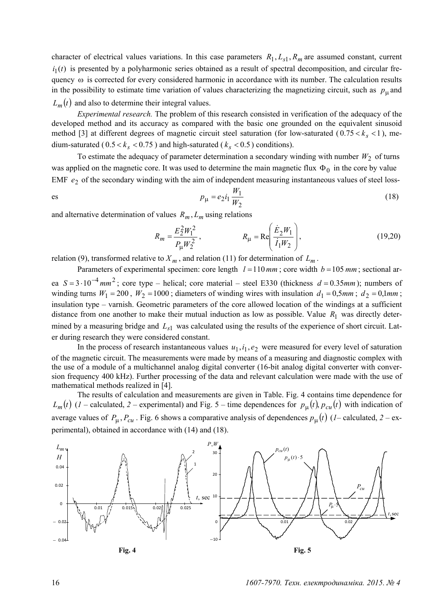character of electrical values variations. In this case parameters  $R_1, L_{s1}, R_m$  are assumed constant, current  $i_1(t)$  is presented by a polyharmonic series obtained as a result of spectral decomposition, and circular frequency ω is corrected for every considered harmonic in accordance with its number. The calculation results in the possibility to estimate time variation of values characterizing the magnetizing circuit, such as  $p_\text{u}$  and  $L_m(t)$  and also to determine their integral values.

*Experimental research.* The problem of this research consisted in verification of the adequacy of the developed method and its accuracy as compared with the basic one grounded on the equivalent sinusoid method [3] at different degrees of magnetic circuit steel saturation (for low-saturated  $(0.75 < k_s < 1)$ , medium-saturated ( $0.5 < k_s < 0.75$ ) and high-saturated ( $k_s < 0.5$ ) conditions).

To estimate the adequacy of parameter determination a secondary winding with number  $W_2$  of turns was applied on the magnetic core. It was used to determine the main magnetic flux  $\Phi_0$  in the core by value EMF  $e_2$  of the secondary winding with the aim of independent measuring instantaneous values of steel loss-

$$
p_{\mu} = e_2 i_1 \frac{W_1}{W_2}
$$
 (18)

and alternative determination of values  $R_m$ ,  $L_m$  using relations

$$
R_m = \frac{E_2^2 W_1^2}{P_\mu W_2^2}, \qquad R_\mu = \text{Re}\left(\frac{\dot{E}_2 W_1}{\dot{I}_1 W_2}\right), \qquad (19,20)
$$

relation (9), transformed relative to  $X_m$ , and relation (11) for determination of  $L_m$ .

Parameters of experimental specimen: core length  $l = 110$  mm; core width  $b = 105$  mm; sectional area  $S = 3 \cdot 10^{-4}$  mm<sup>2</sup>; core type – helical; core material – steel E330 (thickness  $d = 0.35$  mm); numbers of winding turns  $W_1 = 200$ ,  $W_2 = 1000$ ; diameters of winding wires with insulation  $d_1 = 0.5$ *mm*;  $d_2 = 0.1$ *mm*; insulation type – varnish. Geometric parameters of the core allowed location of the windings at a sufficient distance from one another to make their mutual induction as low as possible. Value  $R_1$  was directly determined by a measuring bridge and  $L_{s1}$  was calculated using the results of the experience of short circuit. Later during research they were considered constant.

In the process of research instantaneous values  $u_1, i_1, e_2$  were measured for every level of saturation of the magnetic circuit. The measurements were made by means of a measuring and diagnostic complex with the use of a module of a multichannel analog digital converter (16-bit analog digital converter with conversion frequency 400 kHz). Further processing of the data and relevant calculation were made with the use of mathematical methods realized in [4].

The results of calculation and measurements are given in Table. Fig. 4 contains time dependence for  $L_m(t)$  (*1* – calculated, *2* – experimental) and Fig. 5 – time dependences for  $p_\mu(t)$ ,  $p_{cu}(t)$  with indication of average values of  $P_{\mu}$ ,  $P_{cu}$ . Fig. 6 shows a comparative analysis of dependences  $p_{\mu}(t)$  (*1*– calculated, 2 – experimental), obtained in accordance with (14) and (18).



16 *1607-7970. Техн. електродинаміка. 2015. № 4*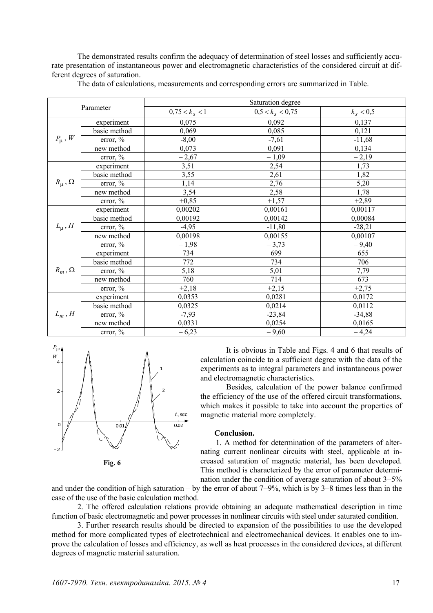The demonstrated results confirm the adequacy of determination of steel losses and sufficiently accurate presentation of instantaneous power and electromagnetic characteristics of the considered circuit at different degrees of saturation.

| Parameter            |              | Saturation degree |                    |             |
|----------------------|--------------|-------------------|--------------------|-------------|
|                      |              | $0,75 < k_s < 1$  | $0.5 < k_s < 0.75$ | $k_s < 0.5$ |
| $P_{\mu}$ , W        | experiment   | 0,075             | 0,092              | 0,137       |
|                      | basic method | 0,069             | 0,085              | 0,121       |
|                      | error, $\%$  | $-8,00$           | $-7,61$            | $-11,68$    |
|                      | new method   | 0,073             | 0,091              | 0,134       |
|                      | error, $\%$  | $-2,67$           | $-1,09$            | $-2,19$     |
| $R_{\mu}$ , $\Omega$ | experiment   | 3,51              | 2,54               | 1,73        |
|                      | basic method | 3,55              | 2,61               | 1,82        |
|                      | error, $\%$  | 1,14              | 2,76               | 5,20        |
|                      | new method   | 3,54              | 2,58               | 1,78        |
|                      | error, $%$   | $+0,85$           | $+1,57$            | $+2,89$     |
| $L_{\mu}$ , H        | experiment   | 0,00202           | 0,00161            | 0,00117     |
|                      | basic method | 0,00192           | 0,00142            | 0,00084     |
|                      | error, $\%$  | $-4,95$           | $-11,80$           | $-28,21$    |
|                      | new method   | 0,00198           | 0,00155            | 0,00107     |
|                      | error, %     | $-1,98$           | $-3,73$            | $-9,40$     |
| $R_m, \Omega$        | experiment   | 734               | 699                | 655         |
|                      | basic method | 772               | 734                | 706         |
|                      | error, $\%$  | 5,18              | 5,01               | 7,79        |
|                      | new method   | 760               | 714                | 673         |
|                      | error, %     | $+2,18$           | $+2,15$            | $+2,75$     |
| $L_m$ , H            | experiment   | 0,0353            | 0,0281             | 0,0172      |
|                      | basic method | 0,0325            | 0,0214             | 0,0112      |
|                      | error, $\%$  | $-7,93$           | $-23,84$           | $-34,88$    |
|                      | new method   | 0,0331            | 0,0254             | 0,0165      |
|                      | error, $\%$  | $-6,23$           | $-9,60$            | $-4,24$     |

The data of calculations, measurements and corresponding errors are summarized in Table.



 **Fig. 6** 

It is obvious in Table and Figs. 4 and 6 that results of calculation coincide to a sufficient degree with the data of the experiments as to integral parameters and instantaneous power and electromagnetic characteristics.

Besides, calculation of the power balance confirmed the efficiency of the use of the offered circuit transformations, which makes it possible to take into account the properties of magnetic material more completely.

# **Conclusion.**

 1. A method for determination of the parameters of alternating current nonlinear circuits with steel, applicable at increased saturation of magnetic material, has been developed. This method is characterized by the error of parameter determination under the condition of average saturation of about 3−5%

and under the condition of high saturation – by the error of about 7−9%, which is by 3−8 times less than in the case of the use of the basic calculation method.

2. The offered calculation relations provide obtaining an adequate mathematical description in time function of basic electromagnetic and power processes in nonlinear circuits with steel under saturated condition.

3. Further research results should be directed to expansion of the possibilities to use the developed method for more complicated types of electrotechnical and electromechanical devices. It enables one to improve the calculation of losses and efficiency, as well as heat processes in the considered devices, at different degrees of magnetic material saturation.